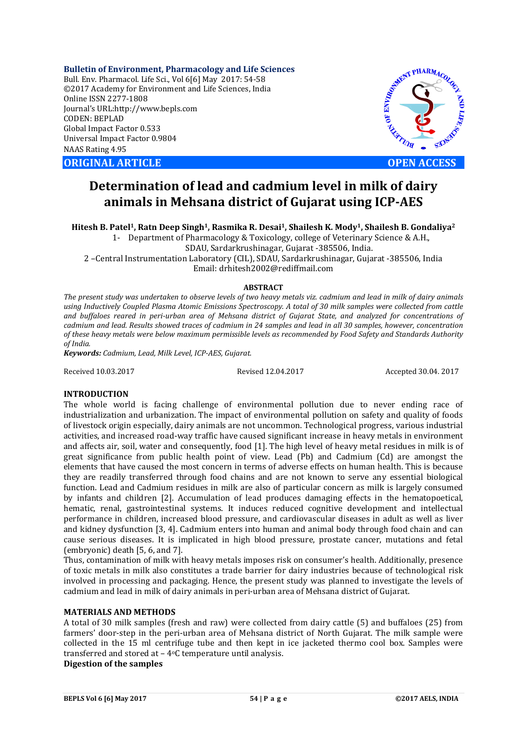**Bulletin of Environment, Pharmacology and Life Sciences** Bull. Env. Pharmacol. Life Sci., Vol 6[6] May 2017: 54-58 ©2017 Academy for Environment and Life Sciences, India Online ISSN 2277-1808 Journal's URL:http://www.bepls.com CODEN: BEPLAD Global Impact Factor 0.533 Universal Impact Factor 0.9804 NAAS Rating 4.95

**ORIGINAL ARTICLE OPEN ACCESS** 



# **Determination of lead and cadmium level in milk of dairy animals in Mehsana district of Gujarat using ICP-AES**

**Hitesh B. Patel1, Ratn Deep Singh1, Rasmika R. Desai1, Shailesh K. Mody1, Shailesh B. Gondaliya2**

1- Department of Pharmacology & Toxicology, college of Veterinary Science & A.H., SDAU, Sardarkrushinagar, Gujarat -385506, India.

2 –Central Instrumentation Laboratory (CIL), SDAU, Sardarkrushinagar, Gujarat -385506, India Email: drhitesh2002@rediffmail.com

#### **ABSTRACT**

*The present study was undertaken to observe levels of two heavy metals viz. cadmium and lead in milk of dairy animals using Inductively Coupled Plasma Atomic Emissions Spectroscopy. A total of 30 milk samples were collected from cattle and buffaloes reared in peri-urban area of Mehsana district of Gujarat State, and analyzed for concentrations of cadmium and lead. Results showed traces of cadmium in 24 samples and lead in all 30 samples, however, concentration of these heavy metals were below maximum permissible levels as recommended by Food Safety and Standards Authority of India.* 

*Keywords: Cadmium, Lead, Milk Level, ICP-AES, Gujarat.*

Received 10.03.2017 Revised 12.04.2017 Accepted 30.04. 2017

#### **INTRODUCTION**

The whole world is facing challenge of environmental pollution due to never ending race of industrialization and urbanization. The impact of environmental pollution on safety and quality of foods of livestock origin especially, dairy animals are not uncommon. Technological progress, various industrial activities, and increased road-way traffic have caused significant increase in heavy metals in environment and affects air, soil, water and consequently, food [1]. The high level of heavy metal residues in milk is of great significance from public health point of view. Lead (Pb) and Cadmium (Cd) are amongst the elements that have caused the most concern in terms of adverse effects on human health. This is because they are readily transferred through food chains and are not known to serve any essential biological function. Lead and Cadmium residues in milk are also of particular concern as milk is largely consumed by infants and children [2]. Accumulation of lead produces damaging effects in the hematopoetical, hematic, renal, gastrointestinal systems. It induces reduced cognitive development and intellectual performance in children, increased blood pressure, and cardiovascular diseases in adult as well as liver and kidney dysfunction [3, 4]. Cadmium enters into human and animal body through food chain and can cause serious diseases. It is implicated in high blood pressure, prostate cancer, mutations and fetal (embryonic) death [5, 6, and 7].

Thus, contamination of milk with heavy metals imposes risk on consumer's health. Additionally, presence of toxic metals in milk also constitutes a trade barrier for dairy industries because of technological risk involved in processing and packaging. Hence, the present study was planned to investigate the levels of cadmium and lead in milk of dairy animals in peri-urban area of Mehsana district of Gujarat.

## **MATERIALS AND METHODS**

A total of 30 milk samples (fresh and raw) were collected from dairy cattle (5) and buffaloes (25) from farmers' door-step in the peri-urban area of Mehsana district of North Gujarat. The milk sample were collected in the 15 ml centrifuge tube and then kept in ice jacketed thermo cool box. Samples were transferred and stored at – 4oC temperature until analysis. **Digestion of the samples**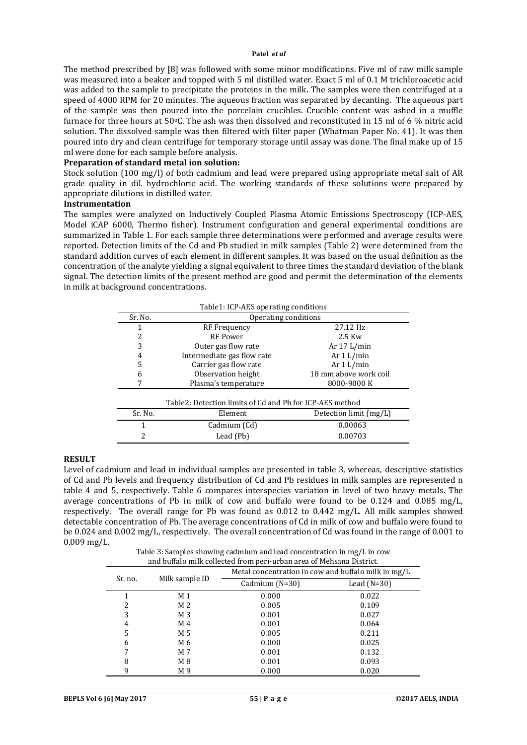#### **Patel** *et al*

The method prescribed by [8] was followed with some minor modifications. Five ml of raw milk sample was measured into a beaker and topped with 5 ml distilled water. Exact 5 ml of 0.1 M trichloroacetic acid was added to the sample to precipitate the proteins in the milk. The samples were then centrifuged at a speed of 4000 RPM for 20 minutes. The aqueous fraction was separated by decanting. The aqueous part of the sample was then poured into the porcelain crucibles. Crucible content was ashed in a muffle furnace for three hours at 50°C. The ash was then dissolved and reconstituted in 15 ml of 6 % nitric acid solution. The dissolved sample was then filtered with filter paper (Whatman Paper No. 41). It was then poured into dry and clean centrifuge for temporary storage until assay was done. The final make up of 15 ml were done for each sample before analysis.

## **Preparation of standard metal ion solution:**

Stock solution (100 mg/l) of both cadmium and lead were prepared using appropriate metal salt of AR grade quality in dil. hydrochloric acid. The working standards of these solutions were prepared by appropriate dilutions in distilled water.

## **Instrumentation**

The samples were analyzed on Inductively Coupled Plasma Atomic Emissions Spectroscopy (ICP-AES, Model iCAP 6000, Thermo fisher). Instrument configuration and general experimental conditions are summarized in Table 1. For each sample three determinations were performed and average results were reported. Detection limits of the Cd and Pb studied in milk samples (Table 2) were determined from the standard addition curves of each element in different samples. It was based on the usual definition as the concentration of the analyte yielding a signal equivalent to three times the standard deviation of the blank signal. The detection limits of the present method are good and permit the determination of the elements in milk at background concentrations.

| Table1: ICP-AES operating conditions |                                                          |                          |  |  |  |
|--------------------------------------|----------------------------------------------------------|--------------------------|--|--|--|
| Sr. No.                              | Operating conditions                                     |                          |  |  |  |
|                                      | RF Frequency                                             | 27.12 Hz                 |  |  |  |
| 2                                    | <b>RF</b> Power                                          | $2.5$ Kw                 |  |  |  |
| 3                                    | Outer gas flow rate                                      | Ar $17 L/min$            |  |  |  |
| 4                                    | Intermediate gas flow rate                               | Ar $1 L/min$             |  |  |  |
| 5                                    | Carrier gas flow rate                                    | Ar $1 L/min$             |  |  |  |
| 6                                    | Observation height                                       | 18 mm above work coil    |  |  |  |
|                                      | Plasma's temperature                                     | 8000-9000 K              |  |  |  |
|                                      | Table2: Detection limits of Cd and Pb for ICP-AES method |                          |  |  |  |
| Sr. No.                              | Element                                                  | Detection limit $(mg/L)$ |  |  |  |
| 1                                    | Cadmium (Cd)                                             | 0.00063                  |  |  |  |
| 2                                    | Lead (Pb)                                                | 0.00703                  |  |  |  |
|                                      |                                                          |                          |  |  |  |

#### **RESULT**

Level of cadmium and lead in individual samples are presented in table 3, whereas, descriptive statistics of Cd and Pb levels and frequency distribution of Cd and Pb residues in milk samples are represented n table 4 and 5, respectively. Table 6 compares interspecies variation in level of two heavy metals. The average concentrations of Pb in milk of cow and buffalo were found to be 0.124 and 0.085 mg/L, respectively. The overall range for Pb was found as 0.012 to 0.442 mg/L. All milk samples showed detectable concentration of Pb. The average concentrations of Cd in milk of cow and buffalo were found to be 0.024 and 0.002 mg/L, respectively. The overall concentration of Cd was found in the range of 0.001 to 0.009 mg/L.

Table 3: Samples showing cadmium and lead concentration in mg/L in cow and buffalo milk collected from peri-urban area of Mehsana District.

| and buildiv milk concetted if only perf-urban area or mensana District. |                |                                                     |               |  |  |  |
|-------------------------------------------------------------------------|----------------|-----------------------------------------------------|---------------|--|--|--|
|                                                                         |                | Metal concentration in cow and buffalo milk in mg/L |               |  |  |  |
| Sr. no.                                                                 | Milk sample ID | Cadmium $(N=30)$                                    | Lead $(N=30)$ |  |  |  |
|                                                                         | M <sub>1</sub> | 0.000                                               | 0.022         |  |  |  |
| 2                                                                       | M 2            | 0.005                                               | 0.109         |  |  |  |
| 3                                                                       | M 3            | 0.001                                               | 0.027         |  |  |  |
| 4                                                                       | M 4            | 0.001                                               | 0.064         |  |  |  |
| 5                                                                       | M 5            | 0.005                                               | 0.211         |  |  |  |
| 6                                                                       | M 6            | 0.000                                               | 0.025         |  |  |  |
| 7                                                                       | M 7            | 0.001                                               | 0.132         |  |  |  |
| 8                                                                       | M8             | 0.001                                               | 0.093         |  |  |  |
| 9                                                                       | M 9            | 0.000                                               | 0.020         |  |  |  |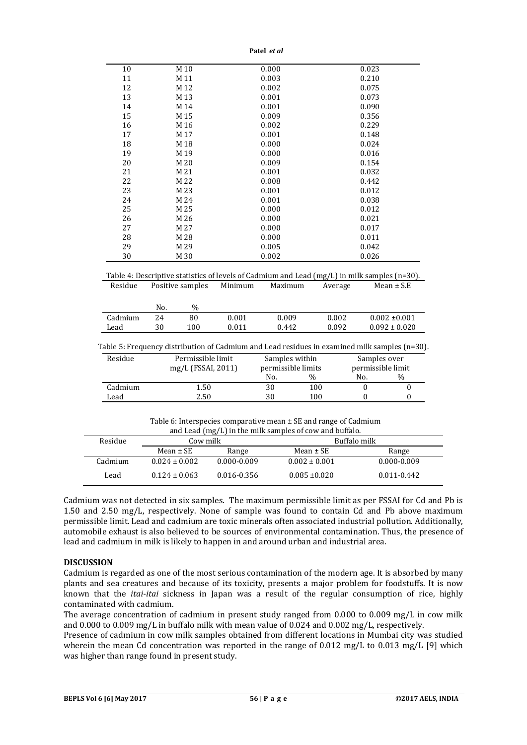**Patel** *et al*

| 10                                    | M 10             |                    |                | 0.000                                                                                                           |         | 0.023                    |                                       |  |
|---------------------------------------|------------------|--------------------|----------------|-----------------------------------------------------------------------------------------------------------------|---------|--------------------------|---------------------------------------|--|
| 11                                    | M 11             |                    |                | 0.003                                                                                                           |         | 0.210                    |                                       |  |
| 12                                    |                  | M 12<br>0.002      |                |                                                                                                                 | 0.075   |                          |                                       |  |
| 13                                    |                  | M 13<br>0.001      |                |                                                                                                                 | 0.073   |                          |                                       |  |
| 14                                    | M 14             |                    |                | 0.001                                                                                                           |         | 0.090                    |                                       |  |
| 15                                    |                  | 0.009<br>M 15      |                |                                                                                                                 | 0.356   |                          |                                       |  |
| 16                                    |                  | M 16<br>0.002      |                |                                                                                                                 | 0.229   |                          |                                       |  |
| 17                                    |                  | M 17<br>0.001      |                |                                                                                                                 | 0.148   |                          |                                       |  |
| 18                                    |                  | 0.000<br>M 18      |                |                                                                                                                 | 0.024   |                          |                                       |  |
| 19                                    |                  | 0.000<br>M 19      |                |                                                                                                                 | 0.016   |                          |                                       |  |
| 20                                    | M 20             |                    | 0.009          |                                                                                                                 |         | 0.154                    |                                       |  |
| 21                                    | M 21             |                    | 0.001          |                                                                                                                 |         | 0.032                    |                                       |  |
| 22                                    | M 22             |                    |                | 0.008                                                                                                           |         | 0.442                    |                                       |  |
| 23                                    | M 23             |                    | 0.001<br>0.012 |                                                                                                                 |         |                          |                                       |  |
| 24                                    | M 24             |                    |                | 0.001                                                                                                           |         | 0.038                    |                                       |  |
| 25                                    | M 25             |                    | 0.000          |                                                                                                                 | 0.012   |                          |                                       |  |
| 26                                    | M 26             |                    | 0.000          |                                                                                                                 |         | 0.021                    |                                       |  |
|                                       |                  | M 27               | 0.000          |                                                                                                                 |         | 0.017                    |                                       |  |
| 27                                    |                  |                    | 0.000          |                                                                                                                 |         | 0.011                    |                                       |  |
| 28                                    | M 28             |                    |                |                                                                                                                 |         |                          |                                       |  |
| 29                                    | M 29             |                    |                | 0.005                                                                                                           |         | 0.042                    |                                       |  |
| 30                                    | M 30             |                    |                | 0.002                                                                                                           |         | 0.026                    |                                       |  |
| Residue                               | Positive samples |                    | Minimum        | Table 4: Descriptive statistics of levels of Cadmium and Lead ( $mg/L$ ) in milk samples ( $n=30$ ).<br>Maximum | Average |                          | $Mean \pm S.E$                        |  |
|                                       | No.              | %                  |                |                                                                                                                 |         |                          |                                       |  |
|                                       | 24               | 80                 | 0.001          | 0.009                                                                                                           | 0.002   |                          | $0.002 \pm 0.001$                     |  |
|                                       | 30               | 100                | 0.011          | 0.442                                                                                                           | 0.092   |                          |                                       |  |
|                                       |                  |                    |                | Table 5: Frequency distribution of Cadmium and Lead residues in examined milk samples (n=30).                   |         |                          |                                       |  |
|                                       |                  | Permissible limit  |                |                                                                                                                 |         |                          |                                       |  |
|                                       |                  |                    |                | Samples within                                                                                                  |         | Samples over             |                                       |  |
|                                       |                  | mg/L (FSSAI, 2011) |                | permissible limits<br>No.                                                                                       | $\%$    | permissible limit<br>No. | $\%$                                  |  |
| Cadmium<br>Lead<br>Residue<br>Cadmium |                  | 1.50               |                | 30                                                                                                              | 100     | $\boldsymbol{0}$         | $0.092 \pm 0.020$<br>$\boldsymbol{0}$ |  |

| Residue | Cow milk          |                 | Buffalo milk      |                 |
|---------|-------------------|-----------------|-------------------|-----------------|
|         | Mean $\pm$ SE     | Range           | Mean $\pm$ SE     | Range           |
| Cadmium | $0.024 \pm 0.002$ | $0.000 - 0.009$ | $0.002 \pm 0.001$ | $0.000 - 0.009$ |
| Lead    | $0.124 \pm 0.063$ | 0.016-0.356     | $0.085 \pm 0.020$ | $0.011 - 0.442$ |

Cadmium was not detected in six samples. The maximum permissible limit as per FSSAI for Cd and Pb is 1.50 and 2.50 mg/L, respectively. None of sample was found to contain Cd and Pb above maximum permissible limit. Lead and cadmium are toxic minerals often associated industrial pollution. Additionally, automobile exhaust is also believed to be sources of environmental contamination. Thus, the presence of lead and cadmium in milk is likely to happen in and around urban and industrial area.

#### **DISCUSSION**

Cadmium is regarded as one of the most serious contamination of the modern age. It is absorbed by many plants and sea creatures and because of its toxicity, presents a major problem for foodstuffs. It is now known that the *itai-itai* sickness in Japan was a result of the regular consumption of rice, highly contaminated with cadmium.

The average concentration of cadmium in present study ranged from 0.000 to 0.009 mg/L in cow milk and 0.000 to 0.009 mg/L in buffalo milk with mean value of 0.024 and 0.002 mg/L, respectively.

Presence of cadmium in cow milk samples obtained from different locations in Mumbai city was studied wherein the mean Cd concentration was reported in the range of 0.012 mg/L to 0.013 mg/L [9] which was higher than range found in present study.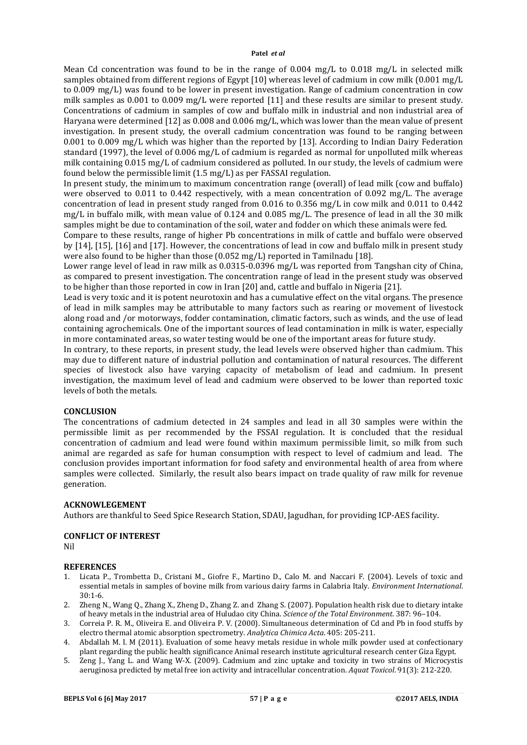#### **Patel** *et al*

Mean Cd concentration was found to be in the range of  $0.004 \text{ mg/L}$  to  $0.018 \text{ mg/L}$  in selected milk samples obtained from different regions of Egypt [10] whereas level of cadmium in cow milk (0.001 mg/L to 0.009 mg/L) was found to be lower in present investigation. Range of cadmium concentration in cow milk samples as 0.001 to 0.009 mg/L were reported [11] and these results are similar to present study. Concentrations of cadmium in samples of cow and buffalo milk in industrial and non industrial area of Haryana were determined [12] as 0.008 and 0.006 mg/L, which was lower than the mean value of present investigation. In present study, the overall cadmium concentration was found to be ranging between 0.001 to 0.009 mg/L which was higher than the reported by [13]. According to Indian Dairy Federation standard (1997), the level of 0.006 mg/L of cadmium is regarded as normal for unpolluted milk whereas milk containing 0.015 mg/L of cadmium considered as polluted. In our study, the levels of cadmium were found below the permissible limit (1.5 mg/L) as per FASSAI regulation.

In present study, the minimum to maximum concentration range (overall) of lead milk (cow and buffalo) were observed to 0.011 to 0.442 respectively, with a mean concentration of 0.092 mg/L. The average concentration of lead in present study ranged from 0.016 to 0.356 mg/L in cow milk and 0.011 to 0.442 mg/L in buffalo milk, with mean value of 0.124 and 0.085 mg/L. The presence of lead in all the 30 milk samples might be due to contamination of the soil, water and fodder on which these animals were fed.

Compare to these results, range of higher Pb concentrations in milk of cattle and buffalo were observed by [14], [15], [16] and [17]. However, the concentrations of lead in cow and buffalo milk in present study were also found to be higher than those (0.052 mg/L) reported in Tamilnadu [18].

Lower range level of lead in raw milk as 0.0315-0.0396 mg/L was reported from Tangshan city of China, as compared to present investigation. The concentration range of lead in the present study was observed to be higher than those reported in cow in Iran [20] and, cattle and buffalo in Nigeria [21].

Lead is very toxic and it is potent neurotoxin and has a cumulative effect on the vital organs. The presence of lead in milk samples may be attributable to many factors such as rearing or movement of livestock along road and /or motorways, fodder contamination, climatic factors, such as winds, and the use of lead containing agrochemicals. One of the important sources of lead contamination in milk is water, especially in more contaminated areas, so water testing would be one of the important areas for future study.

In contrary, to these reports, in present study, the lead levels were observed higher than cadmium. This may due to different nature of industrial pollution and contamination of natural resources. The different species of livestock also have varying capacity of metabolism of lead and cadmium. In present investigation, the maximum level of lead and cadmium were observed to be lower than reported toxic levels of both the metals.

# **CONCLUSION**

The concentrations of cadmium detected in 24 samples and lead in all 30 samples were within the permissible limit as per recommended by the FSSAI regulation. It is concluded that the residual concentration of cadmium and lead were found within maximum permissible limit, so milk from such animal are regarded as safe for human consumption with respect to level of cadmium and lead. The conclusion provides important information for food safety and environmental health of area from where samples were collected. Similarly, the result also bears impact on trade quality of raw milk for revenue generation.

#### **ACKNOWLEGEMENT**

Authors are thankful to Seed Spice Research Station, SDAU, Jagudhan, for providing ICP-AES facility.

# **CONFLICT OF INTEREST**

Nil

#### **REFERENCES**

- 1. Licata P., Trombetta D., Cristani M., Giofre F., Martino D., Calo M. and Naccari F. (2004). Levels of toxic and essential metals in samples of bovine milk from various dairy farms in Calabria Italy. *Environment International*. 30:1-6.
- 2. Zheng N., Wang Q., Zhang X., Zheng D., Zhang Z. and Zhang S. (2007). Population health risk due to dietary intake of heavy metals in the industrial area of Huludao city China. *Science of the Total Environment*. 387: 96–104.
- 3. Correia P. R. M., Oliveira E. and Oliveira P. V. (2000). Simultaneous determination of Cd and Pb in food stuffs by electro thermal atomic absorption spectrometry. *Analytica Chimica Acta*. 405: 205-211.
- 4. Abdallah M. I. M (2011). Evaluation of some heavy metals residue in whole milk powder used at confectionary plant regarding the public health significance Animal research institute agricultural research center Giza Egypt.
- 5. Zeng J., Yang L. and Wang W-X. (2009). Cadmium and zinc uptake and toxicity in two strains of Microcystis aeruginosa predicted by metal free ion activity and intracellular concentration. *Aquat Toxicol*. 91(3): 212-220.